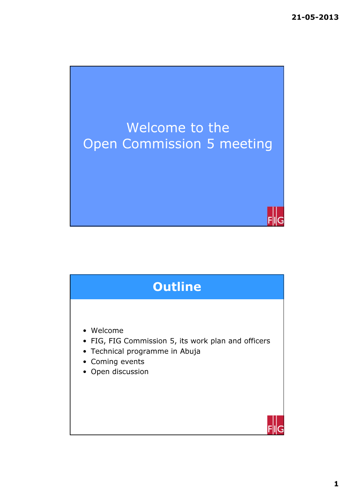

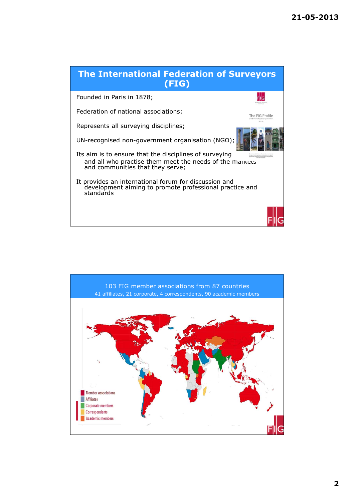

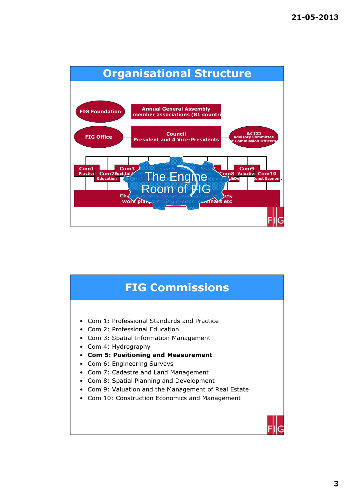

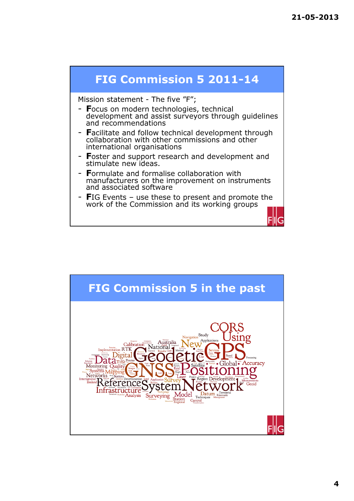

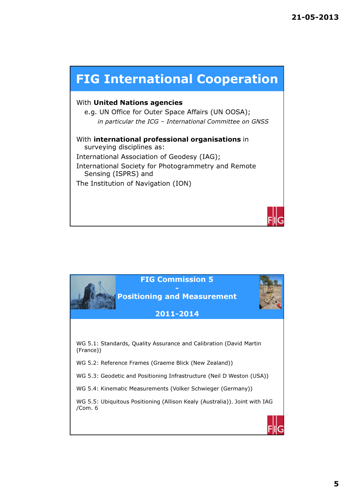

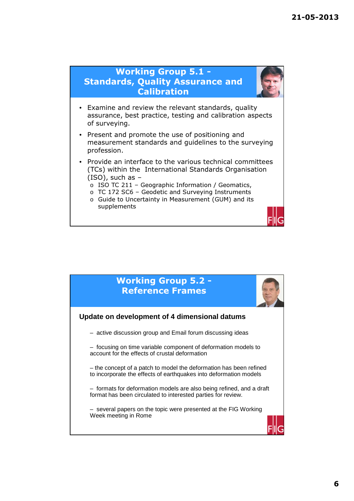## Working Group 5.1 - Standards, Quality Assurance and **Calibration**



- Examine and review the relevant standards, quality assurance, best practice, testing and calibration aspects of surveying.
- Present and promote the use of positioning and measurement standards and guidelines to the surveying profession.
- Provide an interface to the various technical committees (TCs) within the International Standards Organisation (ISO), such as –
	- o ISO TC 211 Geographic Information / Geomatics,
	- o TC 172 SC6 Geodetic and Surveying Instruments
	- o Guide to Uncertainty in Measurement (GUM) and its supplements

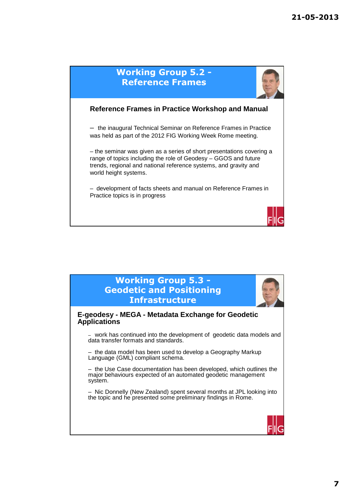

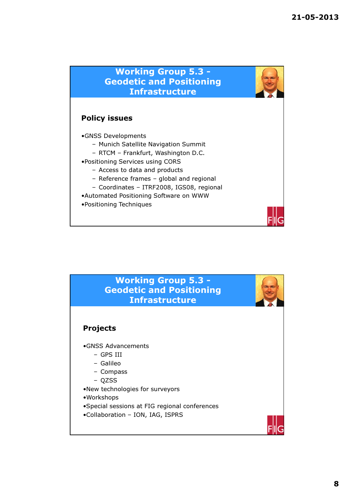## Working Group 5.3 - Geodetic and Positioning Infrastructure

## Policy issues

•GNSS Developments

- Munich Satellite Navigation Summit
- RTCM Frankfurt, Washington D.C.
- •Positioning Services using CORS
	- Access to data and products
	- Reference frames global and regional
	- Coordinates ITRF2008, IGS08, regional
- •Automated Positioning Software on WWW
- •Positioning Techniques

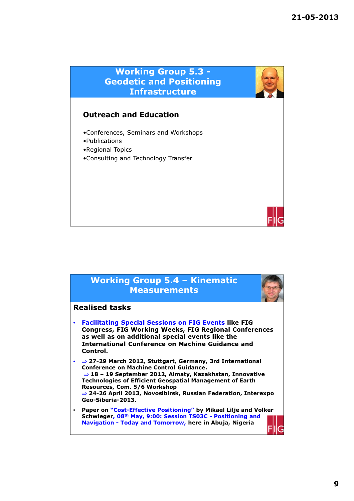

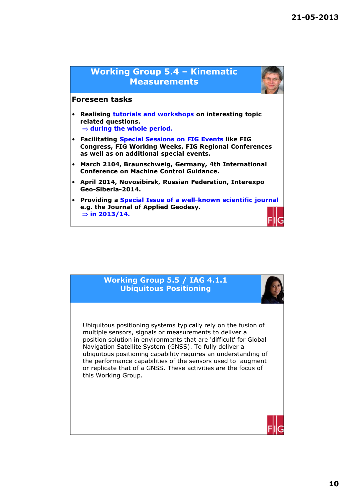

#### Working Group 5.5 / IAG 4.1.1 Ubiquitous Positioning

Ubiquitous positioning systems typically rely on the fusion of multiple sensors, signals or measurements to deliver a position solution in environments that are 'difficult' for Global Navigation Satellite System (GNSS). To fully deliver a ubiquitous positioning capability requires an understanding of the performance capabilities of the sensors used to augment or replicate that of a GNSS. These activities are the focus of this Working Group.

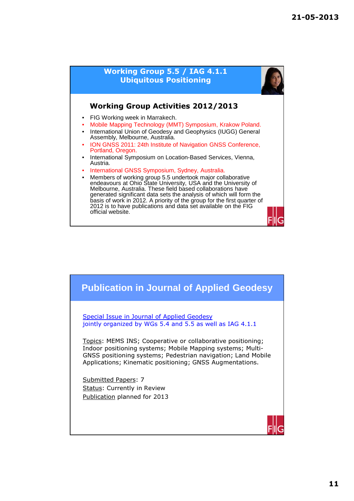

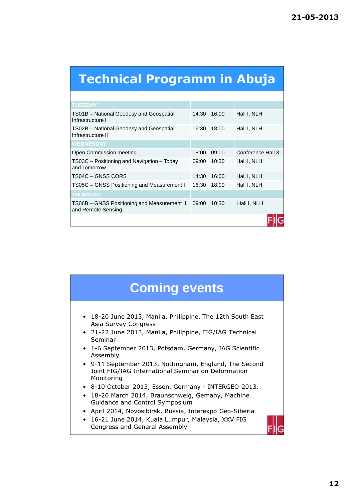# Technical Programm in Abuja

| <b>TUESDAY</b>                                                    |       |       |                   |
|-------------------------------------------------------------------|-------|-------|-------------------|
| TS01B - National Geodesy and Geospatial<br>Infrastructure I       | 14:30 | 16:00 | Hall I, NLH       |
| TS02B - National Geodesy and Geospatial<br>Infrastructure II      | 16:30 | 18:00 | Hall I, NLH       |
| <b>WEDNESDAY</b>                                                  |       |       |                   |
| Open Commission meeting                                           | 08:00 | 09:00 | Conference Hall 3 |
| TS03C - Positioning and Navigation - Today<br>and Tomorrow        | 09:00 | 10:30 | Hall I, NLH       |
| TS04C - GNSS CORS                                                 | 14:30 | 16:00 | Hall I, NLH       |
| TS05C - GNSS Positioning and Measurement I                        | 16:30 | 18:00 | Hall I, NLH       |
| <b>THURSDAY</b>                                                   |       |       |                   |
| TS06B - GNSS Positioning and Measurement II<br>and Remote Sensing | 09:00 | 10:30 | Hall I, NLH       |
|                                                                   |       |       |                   |